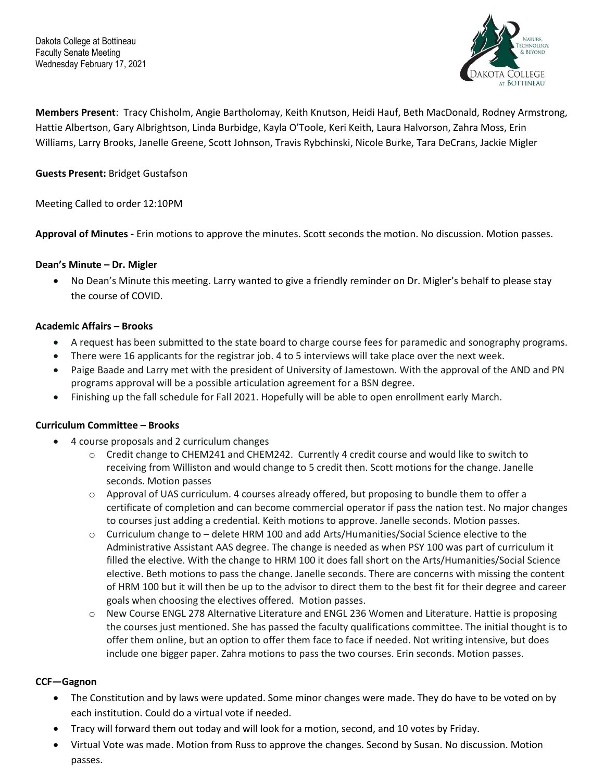

**Members Present**: Tracy Chisholm, Angie Bartholomay, Keith Knutson, Heidi Hauf, Beth MacDonald, Rodney Armstrong, Hattie Albertson, Gary Albrightson, Linda Burbidge, Kayla O'Toole, Keri Keith, Laura Halvorson, Zahra Moss, Erin Williams, Larry Brooks, Janelle Greene, Scott Johnson, Travis Rybchinski, Nicole Burke, Tara DeCrans, Jackie Migler

## **Guests Present:** Bridget Gustafson

Meeting Called to order 12:10PM

**Approval of Minutes -** Erin motions to approve the minutes. Scott seconds the motion. No discussion. Motion passes.

#### **Dean's Minute – Dr. Migler**

• No Dean's Minute this meeting. Larry wanted to give a friendly reminder on Dr. Migler's behalf to please stay the course of COVID.

### **Academic Affairs – Brooks**

- A request has been submitted to the state board to charge course fees for paramedic and sonography programs.
- There were 16 applicants for the registrar job. 4 to 5 interviews will take place over the next week.
- Paige Baade and Larry met with the president of University of Jamestown. With the approval of the AND and PN programs approval will be a possible articulation agreement for a BSN degree.
- Finishing up the fall schedule for Fall 2021. Hopefully will be able to open enrollment early March.

#### **Curriculum Committee – Brooks**

- 4 course proposals and 2 curriculum changes
	- o Credit change to CHEM241 and CHEM242. Currently 4 credit course and would like to switch to receiving from Williston and would change to 5 credit then. Scott motions for the change. Janelle seconds. Motion passes
	- $\circ$  Approval of UAS curriculum. 4 courses already offered, but proposing to bundle them to offer a certificate of completion and can become commercial operator if pass the nation test. No major changes to courses just adding a credential. Keith motions to approve. Janelle seconds. Motion passes.
	- $\circ$  Curriculum change to delete HRM 100 and add Arts/Humanities/Social Science elective to the Administrative Assistant AAS degree. The change is needed as when PSY 100 was part of curriculum it filled the elective. With the change to HRM 100 it does fall short on the Arts/Humanities/Social Science elective. Beth motions to pass the change. Janelle seconds. There are concerns with missing the content of HRM 100 but it will then be up to the advisor to direct them to the best fit for their degree and career goals when choosing the electives offered. Motion passes.
	- o New Course ENGL 278 Alternative Literature and ENGL 236 Women and Literature. Hattie is proposing the courses just mentioned. She has passed the faculty qualifications committee. The initial thought is to offer them online, but an option to offer them face to face if needed. Not writing intensive, but does include one bigger paper. Zahra motions to pass the two courses. Erin seconds. Motion passes.

# **CCF—Gagnon**

- The Constitution and by laws were updated. Some minor changes were made. They do have to be voted on by each institution. Could do a virtual vote if needed.
- Tracy will forward them out today and will look for a motion, second, and 10 votes by Friday.
- Virtual Vote was made. Motion from Russ to approve the changes. Second by Susan. No discussion. Motion passes.